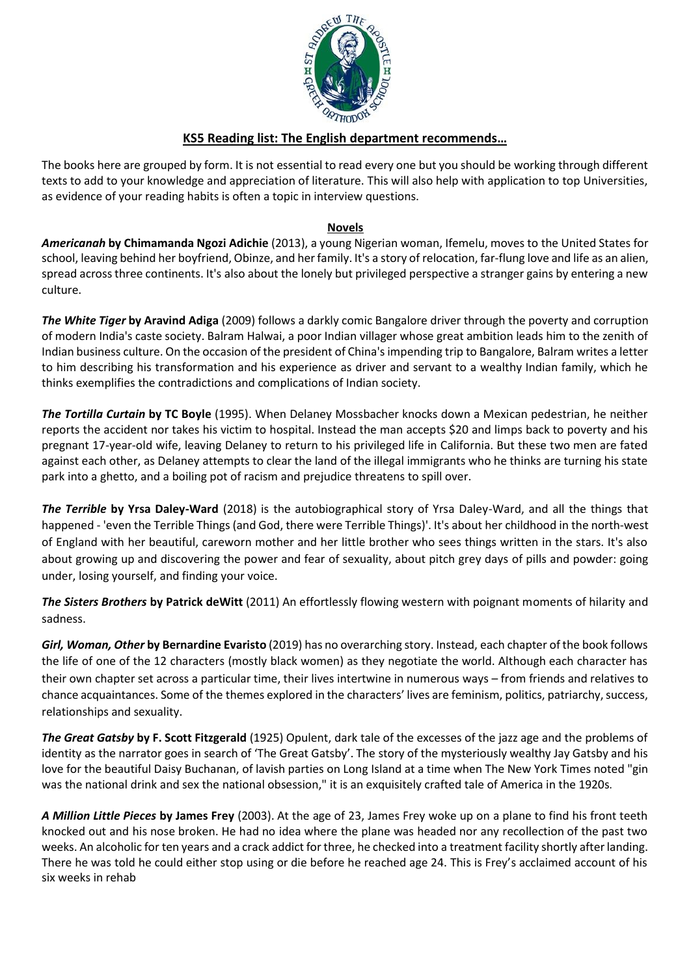

# **KS5 Reading list: The English department recommends…**

The books here are grouped by form. It is not essential to read every one but you should be working through different texts to add to your knowledge and appreciation of literature. This will also help with application to top Universities, as evidence of your reading habits is often a topic in interview questions.

## **Novels**

*Americanah* **by Chimamanda Ngozi Adichie** (2013), a young Nigerian woman, Ifemelu, moves to the United States for school, leaving behind her boyfriend, Obinze, and herfamily. It's a story of relocation, far-flung love and life as an alien, spread across three continents. It's also about the lonely but privileged perspective a stranger gains by entering a new culture.

*The White Tiger* **by Aravind Adiga** (2009) follows a darkly comic Bangalore driver through the poverty and corruption of modern India's caste society. Balram Halwai, a poor Indian villager whose great ambition leads him to the zenith of Indian business culture. On the occasion of the president of China's impending trip to Bangalore, Balram writes a letter to him describing his transformation and his experience as driver and servant to a wealthy Indian family, which he thinks exemplifies the contradictions and complications of Indian society.

*The Tortilla Curtain* **by TC Boyle** (1995). When Delaney Mossbacher knocks down a Mexican pedestrian, he neither reports the accident nor takes his victim to hospital. Instead the man accepts \$20 and limps back to poverty and his pregnant 17-year-old wife, leaving Delaney to return to his privileged life in California. But these two men are fated against each other, as Delaney attempts to clear the land of the illegal immigrants who he thinks are turning his state park into a ghetto, and a boiling pot of racism and prejudice threatens to spill over.

*The Terrible* **by Yrsa Daley-Ward** (2018) is the autobiographical story of Yrsa Daley-Ward, and all the things that happened - 'even the Terrible Things (and God, there were Terrible Things)'. It's about her childhood in the north-west of England with her beautiful, careworn mother and her little brother who sees things written in the stars. It's also about growing up and discovering the power and fear of sexuality, about pitch grey days of pills and powder: going under, losing yourself, and finding your voice.

*The Sisters Brothers* **by Patrick deWitt** (2011) An effortlessly flowing western with poignant moments of hilarity and sadness.

*Girl, Woman, Other* **by Bernardine Evaristo** (2019) has no overarching story. Instead, each chapter of the book follows the life of one of the 12 characters (mostly black women) as they negotiate the world. Although each character has their own chapter set across a particular time, their lives intertwine in numerous ways – from friends and relatives to chance acquaintances. Some of the themes explored in the characters' lives are feminism, politics, patriarchy, success, relationships and sexuality.

*The Great Gatsby* **by F. Scott Fitzgerald** (1925) Opulent, dark tale of the excesses of the jazz age and the problems of identity as the narrator goes in search of 'The Great Gatsby'. The story of the mysteriously wealthy Jay Gatsby and his love for the beautiful Daisy Buchanan, of lavish parties on Long Island at a time when The New York Times noted "gin was the national drink and sex the national obsession," it is an exquisitely crafted tale of America in the 1920s.

*A Million Little Pieces* **by James Frey** (2003). At the age of 23, James Frey woke up on a plane to find his front teeth knocked out and his nose broken. He had no idea where the plane was headed nor any recollection of the past two weeks. An alcoholic for ten years and a crack addict for three, he checked into a treatment facility shortly after landing. There he was told he could either stop using or die before he reached age 24. This is Frey's acclaimed account of his six weeks in rehab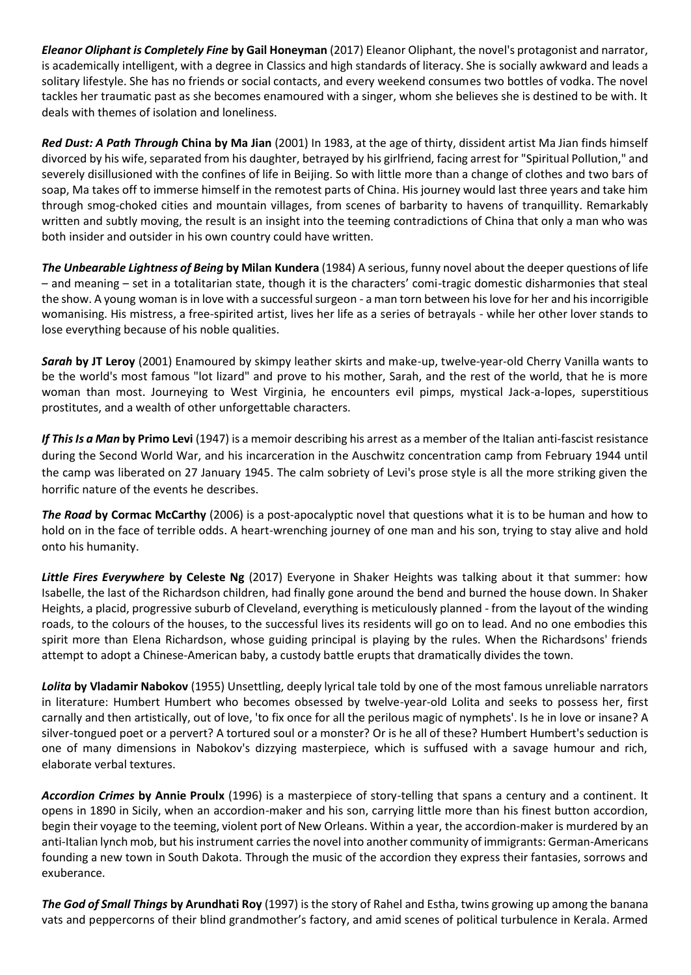*Eleanor Oliphant is Completely Fine* **by Gail Honeyman** (2017) Eleanor Oliphant, the novel's protagonist and narrator, is academically intelligent, with a degree in Classics and high standards of literacy. She is socially awkward and leads a solitary lifestyle. She has no friends or social contacts, and every weekend consumes two bottles of vodka. The novel tackles her traumatic past as she becomes enamoured with a singer, whom she believes she is destined to be with. It deals with themes of isolation and loneliness.

*Red Dust: A Path Through* **China by Ma Jian** (2001) In 1983, at the age of thirty, dissident artist Ma Jian finds himself divorced by his wife, separated from his daughter, betrayed by his girlfriend, facing arrest for "Spiritual Pollution," and severely disillusioned with the confines of life in Beijing. So with little more than a change of clothes and two bars of soap, Ma takes off to immerse himself in the remotest parts of China. His journey would last three years and take him through smog-choked cities and mountain villages, from scenes of barbarity to havens of tranquillity. Remarkably written and subtly moving, the result is an insight into the teeming contradictions of China that only a man who was both insider and outsider in his own country could have written.

*The Unbearable Lightness of Being* **by Milan Kundera** (1984) A serious, funny novel about the deeper questions of life – and meaning – set in a totalitarian state, though it is the characters' comi-tragic domestic disharmonies that steal the show. A young woman is in love with a successful surgeon - a man torn between his love for her and his incorrigible womanising. His mistress, a free-spirited artist, lives her life as a series of betrayals - while her other lover stands to lose everything because of his noble qualities.

*Sarah* **by JT Leroy** (2001) Enamoured by skimpy leather skirts and make-up, twelve-year-old Cherry Vanilla wants to be the world's most famous "lot lizard" and prove to his mother, Sarah, and the rest of the world, that he is more woman than most. Journeying to West Virginia, he encounters evil pimps, mystical Jack-a-lopes, superstitious prostitutes, and a wealth of other unforgettable characters.

If This Is a Man by Primo Levi (1947) is a memoir describing his arrest as a member of the Italian anti-fascist resistance during the Second World War, and his incarceration in the Auschwitz concentration camp from February 1944 until the camp was liberated on 27 January 1945. The calm sobriety of Levi's prose style is all the more striking given the horrific nature of the events he describes.

*The Road* **by Cormac McCarthy** (2006) is a post-apocalyptic novel that questions what it is to be human and how to hold on in the face of terrible odds. A heart-wrenching journey of one man and his son, trying to stay alive and hold onto his humanity.

*Little Fires Everywhere* **by Celeste Ng** (2017) Everyone in Shaker Heights was talking about it that summer: how Isabelle, the last of the Richardson children, had finally gone around the bend and burned the house down. In Shaker Heights, a placid, progressive suburb of Cleveland, everything is meticulously planned - from the layout of the winding roads, to the colours of the houses, to the successful lives its residents will go on to lead. And no one embodies this spirit more than Elena Richardson, whose guiding principal is playing by the rules. When the Richardsons' friends attempt to adopt a Chinese-American baby, a custody battle erupts that dramatically divides the town.

*Lolita* **by Vladamir Nabokov** (1955) Unsettling, deeply lyrical tale told by one of the most famous unreliable narrators in literature: Humbert Humbert who becomes obsessed by twelve-year-old Lolita and seeks to possess her, first carnally and then artistically, out of love, 'to fix once for all the perilous magic of nymphets'. Is he in love or insane? A silver-tongued poet or a pervert? A tortured soul or a monster? Or is he all of these? Humbert Humbert's seduction is one of many dimensions in Nabokov's dizzying masterpiece, which is suffused with a savage humour and rich, elaborate verbal textures.

*Accordion Crimes* **by Annie Proulx** (1996) is a masterpiece of story-telling that spans a century and a continent. It opens in 1890 in Sicily, when an accordion-maker and his son, carrying little more than his finest button accordion, begin their voyage to the teeming, violent port of New Orleans. Within a year, the accordion-maker is murdered by an anti-Italian lynch mob, but his instrument carries the novel into another community of immigrants: German-Americans founding a new town in South Dakota. Through the music of the accordion they express their fantasies, sorrows and exuberance.

*The God of Small Things* **by Arundhati Roy** (1997) is the story of Rahel and Estha, twins growing up among the banana vats and peppercorns of their blind grandmother's factory, and amid scenes of political turbulence in Kerala. Armed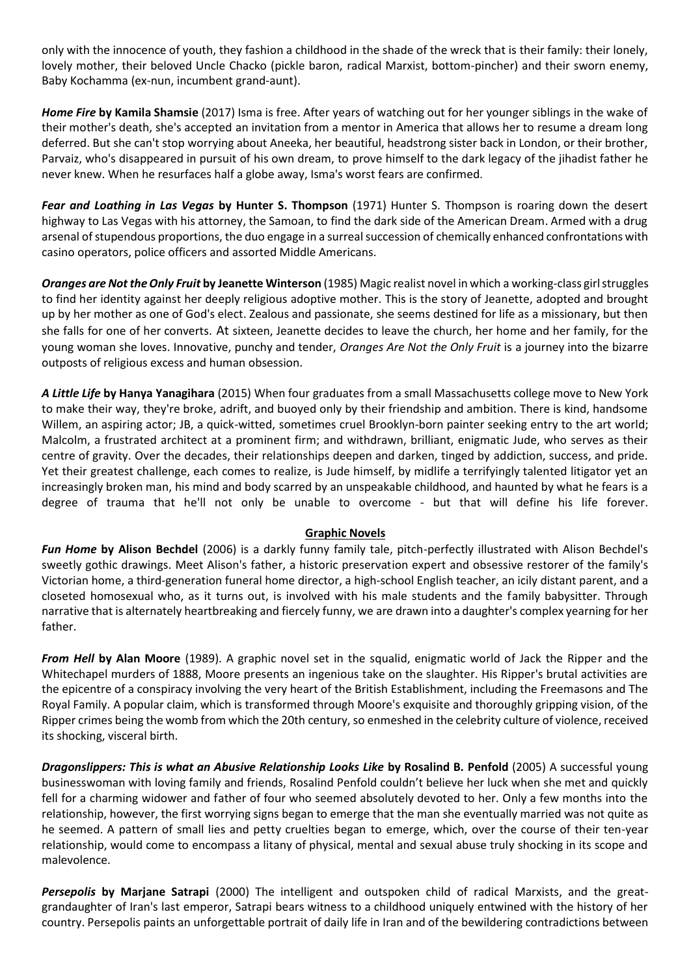only with the innocence of youth, they fashion a childhood in the shade of the wreck that is their family: their lonely, lovely mother, their beloved Uncle Chacko (pickle baron, radical Marxist, bottom-pincher) and their sworn enemy, Baby Kochamma (ex-nun, incumbent grand-aunt).

*Home Fire* **by Kamila Shamsie** (2017) Isma is free. After years of watching out for her younger siblings in the wake of their mother's death, she's accepted an invitation from a mentor in America that allows her to resume a dream long deferred. But she can't stop worrying about Aneeka, her beautiful, headstrong sister back in London, or their brother, Parvaiz, who's disappeared in pursuit of his own dream, to prove himself to the dark legacy of the jihadist father he never knew. When he resurfaces half a globe away, Isma's worst fears are confirmed.

*Fear and Loathing in Las Vegas* **by Hunter S. Thompson** (1971) Hunter S. Thompson is roaring down the desert highway to Las Vegas with his attorney, the Samoan, to find the dark side of the American Dream. Armed with a drug arsenal of stupendous proportions, the duo engage in a surreal succession of chemically enhanced confrontations with casino operators, police officers and assorted Middle Americans.

*Oranges are NottheOnly Fruit* **by Jeanette Winterson** (1985) Magic realist novel in which a working-class girlstruggles to find her identity against her deeply religious adoptive mother. This is the story of Jeanette, adopted and brought up by her mother as one of God's elect. Zealous and passionate, she seems destined for life as a missionary, but then she falls for one of her converts. At sixteen, Jeanette decides to leave the church, her home and her family, for the young woman she loves. Innovative, punchy and tender, *Oranges Are Not the Only Fruit* is a journey into the bizarre outposts of religious excess and human obsession.

*A Little Life* **by Hanya Yanagihara** (2015) When four graduates from a small Massachusetts college move to New York to make their way, they're broke, adrift, and buoyed only by their friendship and ambition. There is kind, handsome Willem, an aspiring actor; JB, a quick-witted, sometimes cruel Brooklyn-born painter seeking entry to the art world; Malcolm, a frustrated architect at a prominent firm; and withdrawn, brilliant, enigmatic Jude, who serves as their centre of gravity. Over the decades, their relationships deepen and darken, tinged by addiction, success, and pride. Yet their greatest challenge, each comes to realize, is Jude himself, by midlife a terrifyingly talented litigator yet an increasingly broken man, his mind and body scarred by an unspeakable childhood, and haunted by what he fears is a degree of trauma that he'll not only be unable to overcome - but that will define his life forever.

#### **Graphic Novels**

*Fun Home* **by Alison Bechdel** (2006) is a darkly funny family tale, pitch-perfectly illustrated with Alison Bechdel's sweetly gothic drawings. Meet Alison's father, a historic preservation expert and obsessive restorer of the family's Victorian home, a third-generation funeral home director, a high-school English teacher, an icily distant parent, and a closeted homosexual who, as it turns out, is involved with his male students and the family babysitter. Through narrative that is alternately heartbreaking and fiercely funny, we are drawn into a daughter's complex yearning for her father.

*From Hell* **by Alan Moore** (1989). A graphic novel set in the squalid, enigmatic world of Jack the Ripper and the Whitechapel murders of 1888, Moore presents an ingenious take on the slaughter. His Ripper's brutal activities are the epicentre of a conspiracy involving the very heart of the British Establishment, including the Freemasons and The Royal Family. A popular claim, which is transformed through Moore's exquisite and thoroughly gripping vision, of the Ripper crimes being the womb from which the 20th century, so enmeshed in the celebrity culture of violence, received its shocking, visceral birth.

*Dragonslippers: This is what an Abusive Relationship Looks Like* **by Rosalind B. Penfold** (2005) A successful young businesswoman with loving family and friends, Rosalind Penfold couldn't believe her luck when she met and quickly fell for a charming widower and father of four who seemed absolutely devoted to her. Only a few months into the relationship, however, the first worrying signs began to emerge that the man she eventually married was not quite as he seemed. A pattern of small lies and petty cruelties began to emerge, which, over the course of their ten-year relationship, would come to encompass a litany of physical, mental and sexual abuse truly shocking in its scope and malevolence.

*Persepolis* **by Marjane Satrapi** (2000) The intelligent and outspoken child of radical Marxists, and the greatgrandaughter of Iran's last emperor, Satrapi bears witness to a childhood uniquely entwined with the history of her country. Persepolis paints an unforgettable portrait of daily life in Iran and of the bewildering contradictions between